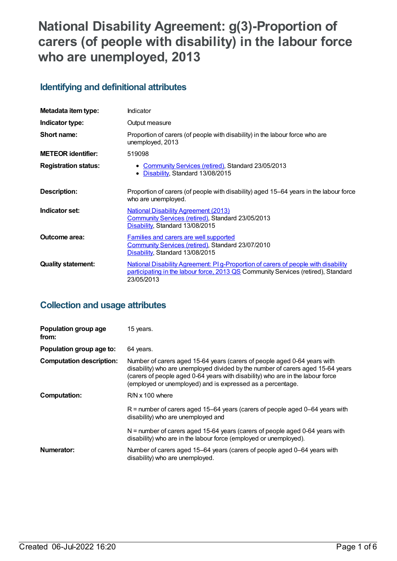# **National Disability Agreement: g(3)-Proportion of carers (of people with disability) in the labour force who are unemployed, 2013**

## **Identifying and definitional attributes**

| Metadata item type:         | Indicator                                                                                                                                                                             |
|-----------------------------|---------------------------------------------------------------------------------------------------------------------------------------------------------------------------------------|
| Indicator type:             | Output measure                                                                                                                                                                        |
| Short name:                 | Proportion of carers (of people with disability) in the labour force who are<br>unemployed, 2013                                                                                      |
| <b>METEOR identifier:</b>   | 519098                                                                                                                                                                                |
| <b>Registration status:</b> | • Community Services (retired), Standard 23/05/2013<br>Disability, Standard 13/08/2015<br>$\bullet$                                                                                   |
| <b>Description:</b>         | Proportion of carers (of people with disability) aged 15-64 years in the labour force<br>who are unemployed.                                                                          |
| Indicator set:              | <b>National Disability Agreement (2013)</b><br>Community Services (retired), Standard 23/05/2013<br>Disability, Standard 13/08/2015                                                   |
| <b>Outcome area:</b>        | <b>Families and carers are well supported</b><br>Community Services (retired), Standard 23/07/2010<br>Disability, Standard 13/08/2015                                                 |
| <b>Quality statement:</b>   | National Disability Agreement: PI g-Proportion of carers of people with disability<br>participating in the labour force, 2013 QS Community Services (retired), Standard<br>23/05/2013 |

## **Collection and usage attributes**

| Population group age<br>from:   | 15 years.                                                                                                                                                                                                                                                                                                   |
|---------------------------------|-------------------------------------------------------------------------------------------------------------------------------------------------------------------------------------------------------------------------------------------------------------------------------------------------------------|
| Population group age to:        | 64 years.                                                                                                                                                                                                                                                                                                   |
| <b>Computation description:</b> | Number of carers aged 15-64 years (carers of people aged 0-64 years with<br>disability) who are unemployed divided by the number of carers aged 15-64 years<br>(carers of people aged 0-64 years with disability) who are in the labour force<br>(employed or unemployed) and is expressed as a percentage. |
| Computation:                    | $R/N \times 100$ where                                                                                                                                                                                                                                                                                      |
|                                 | $R$ = number of carers aged 15–64 years (carers of people aged 0–64 years with<br>disability) who are unemployed and                                                                                                                                                                                        |
|                                 | $N =$ number of carers aged 15-64 years (carers of people aged 0-64 years with<br>disability) who are in the labour force (employed or unemployed).                                                                                                                                                         |
| Numerator:                      | Number of carers aged 15-64 years (carers of people aged 0-64 years with<br>disability) who are unemployed.                                                                                                                                                                                                 |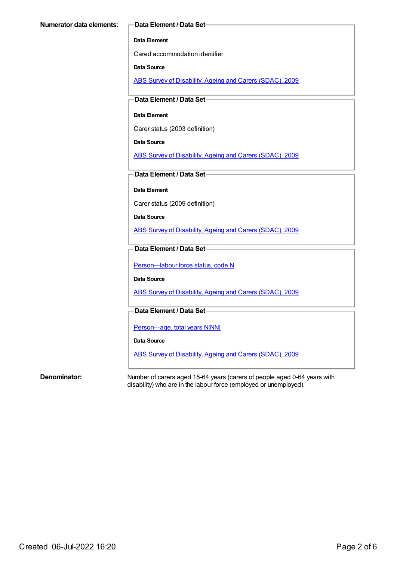#### **Data Element**

Cared accommodation identifier

**Data Source**

ABS Survey of [Disability,](https://meteor.aihw.gov.au/content/445288) Ageing and Carers (SDAC), 2009

**Data Element / Data Set**

#### **Data Element**

Carer status (2003 definition)

**Data Source**

ABS Survey of [Disability,](https://meteor.aihw.gov.au/content/445288) Ageing and Carers (SDAC), 2009

**Data Element / Data Set**

**Data Element**

Carer status (2009 definition)

**Data Source**

ABS Survey of [Disability,](https://meteor.aihw.gov.au/content/445288) Ageing and Carers (SDAC), 2009

#### **Data Element / Data Set**

Person-labour force status, code N

**Data Source**

ABS Survey of [Disability,](https://meteor.aihw.gov.au/content/445288) Ageing and Carers (SDAC), 2009

#### **Data Element / Data Set**

[Person—age,](https://meteor.aihw.gov.au/content/303794) total years N[NN]

**Data Source**

ABS Survey of [Disability,](https://meteor.aihw.gov.au/content/445288) Ageing and Carers (SDAC), 2009

**Denominator:** Number of carers aged 15-64 years (carers of people aged 0-64 years with disability) who are in the labour force (employed or unemployed).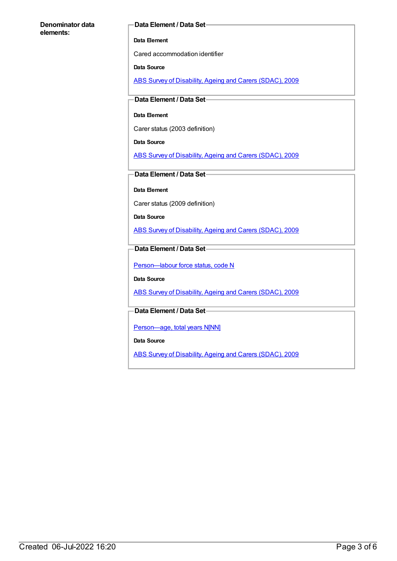#### **Denominator data elements:**

#### **Data Element / Data Set**

#### **Data Element**

Cared accommodation identifier

#### **Data Source**

ABS Survey of [Disability,](https://meteor.aihw.gov.au/content/445288) Ageing and Carers (SDAC), 2009

#### **Data Element / Data Set**

#### **Data Element**

Carer status (2003 definition)

**Data Source**

ABS Survey of [Disability,](https://meteor.aihw.gov.au/content/445288) Ageing and Carers (SDAC), 2009

### **Data Element / Data Set**

**Data Element**

Carer status (2009 definition)

**Data Source**

ABS Survey of [Disability,](https://meteor.aihw.gov.au/content/445288) Ageing and Carers (SDAC), 2009

### **Data Element / Data Set**

Person-labour force status, code N

**Data Source**

ABS Survey of [Disability,](https://meteor.aihw.gov.au/content/445288) Ageing and Carers (SDAC), 2009

### **Data Element / Data Set**

[Person—age,](https://meteor.aihw.gov.au/content/303794) total years N[NN]

**Data Source**

ABS Survey of [Disability,](https://meteor.aihw.gov.au/content/445288) Ageing and Carers (SDAC), 2009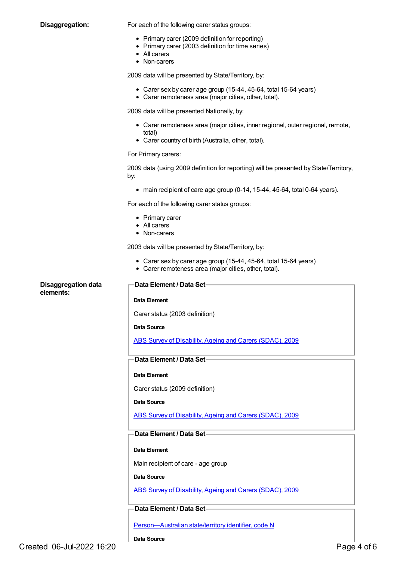**Disaggregation:** For each of the following carer status groups:

- Primary carer (2009 definition for reporting)
- Primary carer (2003 definition for time series)
- All carers
- Non-carers

2009 data will be presented by State/Territory, by:

- Carer sex by carer age group (15-44, 45-64, total 15-64 years)
- Carer remoteness area (major cities, other, total).

2009 data will be presented Nationally, by:

- Carer remoteness area (major cities, inner regional, outer regional, remote, total)
- Carer country of birth (Australia, other, total).

#### For Primary carers:

2009 data (using 2009 definition for reporting) will be presented by State/Territory, by:

main recipient of care age group (0-14, 15-44, 45-64, total 0-64 years).

For each of the following carer status groups:

- Primary carer
- All carers
- Non-carers

2003 data will be presented by State/Territory, by:

- Carer sex by carer age group (15-44, 45-64, total 15-64 years)
- Carer remoteness area (major cities, other, total).

| <b>Disaggregation data</b><br>elements: | Data Element / Data Set-                                 |
|-----------------------------------------|----------------------------------------------------------|
|                                         | Data Element                                             |
|                                         | Carer status (2003 definition)                           |
|                                         | Data Source                                              |
|                                         | ABS Survey of Disability, Ageing and Carers (SDAC), 2009 |
|                                         | Data Element / Data Set-                                 |
|                                         | Data Element                                             |
|                                         | Carer status (2009 definition)                           |
|                                         | <b>Data Source</b>                                       |
|                                         | ABS Survey of Disability, Ageing and Carers (SDAC), 2009 |
|                                         | Data Element / Data Set-                                 |
|                                         | Data Element                                             |
|                                         | Main recipient of care - age group                       |
|                                         | <b>Data Source</b>                                       |
|                                         | ABS Survey of Disability, Ageing and Carers (SDAC), 2009 |
|                                         | Data Element / Data Set-                                 |
|                                         |                                                          |
|                                         | Person-Australian state/territory identifier, code N     |
|                                         | <b>Data Source</b>                                       |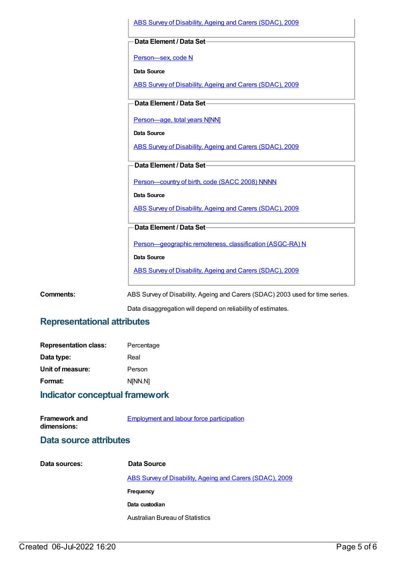|                  | ABS Survey of Disability, Ageing and Carers (SDAC), 2009                      |
|------------------|-------------------------------------------------------------------------------|
|                  | Data Element / Data Set-                                                      |
|                  | Person-sex, code N                                                            |
|                  | <b>Data Source</b>                                                            |
|                  | ABS Survey of Disability, Ageing and Carers (SDAC), 2009                      |
|                  | Data Element / Data Set-                                                      |
|                  | Person-age, total years N[NN]                                                 |
|                  | <b>Data Source</b>                                                            |
|                  | ABS Survey of Disability, Ageing and Carers (SDAC), 2009                      |
|                  | Data Element / Data Set-                                                      |
|                  | Person-country of birth, code (SACC 2008) NNNN                                |
|                  | <b>Data Source</b>                                                            |
|                  | ABS Survey of Disability, Ageing and Carers (SDAC), 2009                      |
|                  | Data Element / Data Set-                                                      |
|                  | Person-geographic remoteness, classification (ASGC-RA) N                      |
|                  | <b>Data Source</b>                                                            |
|                  | ABS Survey of Disability, Ageing and Carers (SDAC), 2009                      |
| <b>Comments:</b> | ABS Survey of Disability, Ageing and Carers (SDAC) 2003 used for time series. |

Data disaggregation will depend on reliability of estimates.

## **Representational attributes**

| <b>Representation class:</b> | Percentage |
|------------------------------|------------|
| Data type:                   | Real       |
| Unit of measure:             | Person     |
| Format:                      | N[NN.N]    |

## **Indicator conceptual framework**

**Framework and** [Employment](https://meteor.aihw.gov.au/content/392706) and labour force participation

### **dimensions:**

| Data source attributes |                                                          |
|------------------------|----------------------------------------------------------|
| Data sources:          | Data Source                                              |
|                        | ABS Survey of Disability, Ageing and Carers (SDAC), 2009 |
|                        | Frequency                                                |

**Data custodian**

Australian Bureau of Statistics